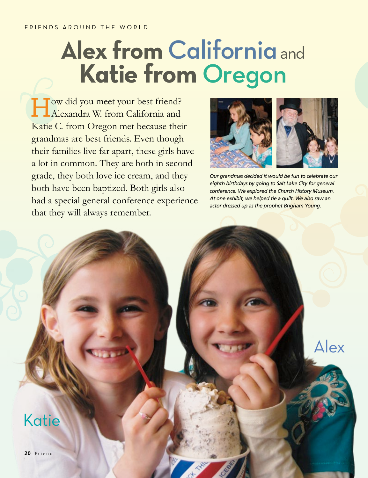## FRIENDS AROUND THE WORLD

## **Alex from California** and **Katie from** Oregon

How did you meet your best friend? Alexandra W. from California and Katie C. from Oregon met because their grandmas are best friends. Even though their families live far apart, these girls have a lot in common. They are both in second grade, they both love ice cream, and they both have been baptized. Both girls also had a special general conference experience that they will always remember.



*Our grandmas decided it would be fun to celebrate our eighth birthdays by going to Salt Lake City for general conference. We explored the Church History Museum. At one exhibit, we helped tie a quilt. We also saw an actor dressed up as the prophet Brigham Young.*

Alex

Katie